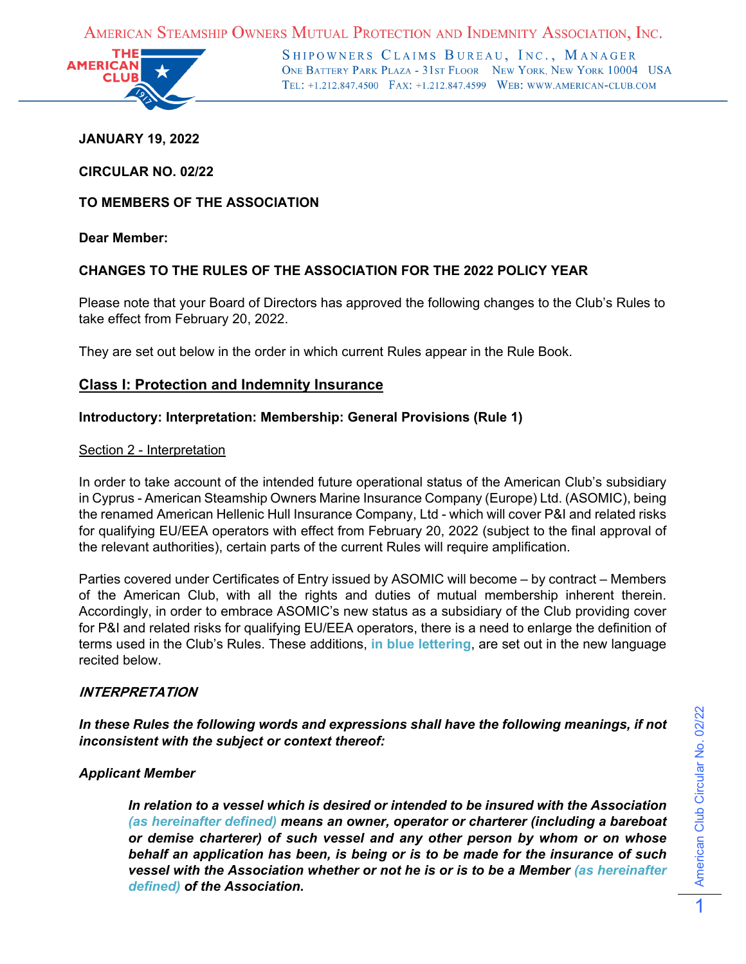AMERICAN STEAMSHIP OWNERS MUTUAL PROTECTION AND INDEMNITY ASSOCIATION, INC.



SHIPOWNERS CLAIMS BUREAU, INC., MANAGER ONE BATTERY PARK PLAZA - 31ST FLOOR NEW YORK, NEW YORK 10004 USA TEL: +1.212.847.4500 FAX: +1.212.847.4599 WEB: WWW.AMERICAN-CLUB.COM

### **JANUARY 19, 2022**

**CIRCULAR NO. 02/22**

**TO MEMBERS OF THE ASSOCIATION**

**Dear Member:**

### **CHANGES TO THE RULES OF THE ASSOCIATION FOR THE 2022 POLICY YEAR**

Please note that your Board of Directors has approved the following changes to the Club's Rules to take effect from February 20, 2022.

They are set out below in the order in which current Rules appear in the Rule Book.

### **Class I: Protection and Indemnity Insurance**

### **Introductory: Interpretation: Membership: General Provisions (Rule 1)**

#### Section 2 - Interpretation

In order to take account of the intended future operational status of the American Club's subsidiary in Cyprus - American Steamship Owners Marine Insurance Company (Europe) Ltd. (ASOMIC), being the renamed American Hellenic Hull Insurance Company, Ltd - which will cover P&I and related risks for qualifying EU/EEA operators with effect from February 20, 2022 (subject to the final approval of the relevant authorities), certain parts of the current Rules will require amplification.

Parties covered under Certificates of Entry issued by ASOMIC will become – by contract – Members of the American Club, with all the rights and duties of mutual membership inherent therein. Accordingly, in order to embrace ASOMIC's new status as a subsidiary of the Club providing cover for P&I and related risks for qualifying EU/EEA operators, there is a need to enlarge the definition of terms used in the Club's Rules. These additions, **in blue lettering**, are set out in the new language recited below.

#### **INTERPRETATION**

*In these Rules the following words and expressions shall have the following meanings, if not inconsistent with the subject or context thereof:*

### *Applicant Member*

*In relation to a vessel which is desired or intended to be insured with the Association (as hereinafter defined) means an owner, operator or charterer (including a bareboat or demise charterer) of such vessel and any other person by whom or on whose behalf an application has been, is being or is to be made for the insurance of such vessel with the Association whether or not he is or is to be a Member (as hereinafter defined) of the Association.*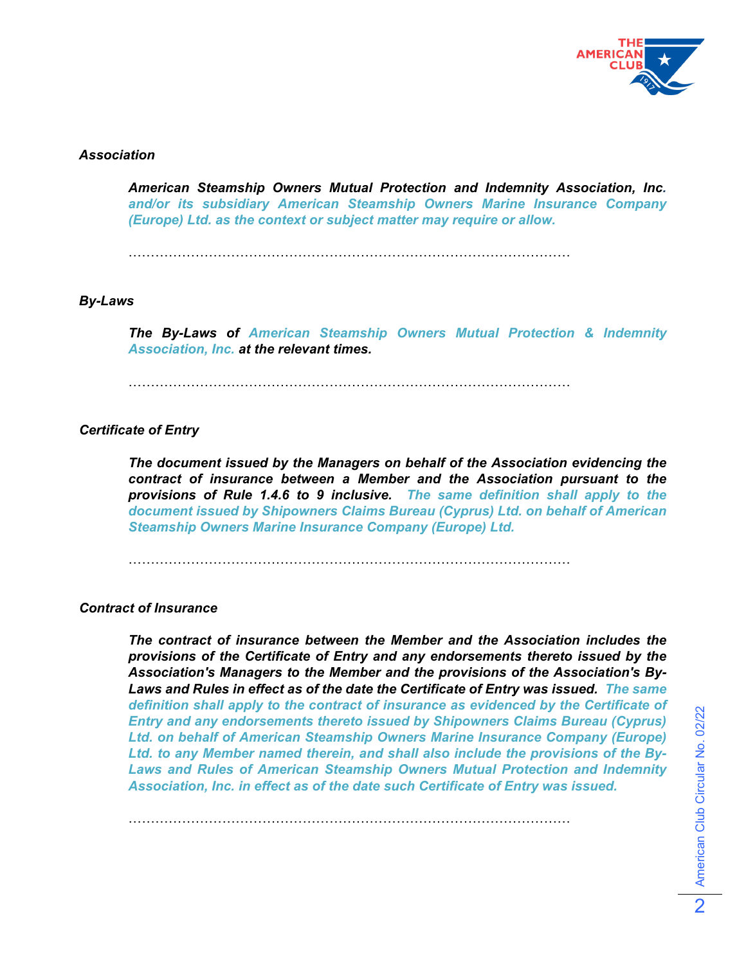

### *Association*

*American Steamship Owners Mutual Protection and Indemnity Association, Inc. and/or its subsidiary American Steamship Owners Marine Insurance Company (Europe) Ltd. as the context or subject matter may require or allow.*

………………………………………………………………………………………

#### *By-Laws*

*The By-Laws of American Steamship Owners Mutual Protection & Indemnity Association, Inc. at the relevant times.*

………………………………………………………………………………………

### *Certificate of Entry*

*The document issued by the Managers on behalf of the Association evidencing the contract of insurance between a Member and the Association pursuant to the provisions of Rule 1.4.6 to 9 inclusive. The same definition shall apply to the document issued by Shipowners Claims Bureau (Cyprus) Ltd. on behalf of American Steamship Owners Marine Insurance Company (Europe) Ltd.*

………………………………………………………………………………………

………………………………………………………………………………………

#### *Contract of Insurance*

*The contract of insurance between the Member and the Association includes the provisions of the Certificate of Entry and any endorsements thereto issued by the Association's Managers to the Member and the provisions of the Association's By-Laws and Rules in effect as of the date the Certificate of Entry was issued. The same definition shall apply to the contract of insurance as evidenced by the Certificate of Entry and any endorsements thereto issued by Shipowners Claims Bureau (Cyprus) Ltd. on behalf of American Steamship Owners Marine Insurance Company (Europe) Ltd. to any Member named therein, and shall also include the provisions of the By-Laws and Rules of American Steamship Owners Mutual Protection and Indemnity Association, Inc. in effect as of the date such Certificate of Entry was issued.*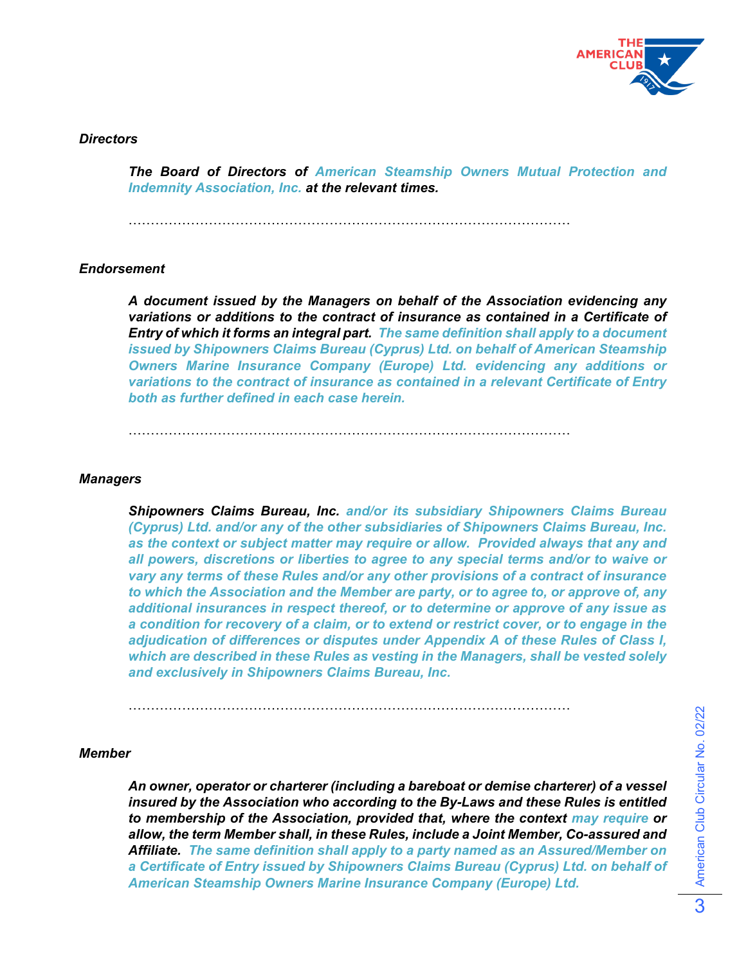

#### *Directors*

*The Board of Directors of American Steamship Owners Mutual Protection and Indemnity Association, Inc. at the relevant times.*

………………………………………………………………………………………

### *Endorsement*

*A document issued by the Managers on behalf of the Association evidencing any variations or additions to the contract of insurance as contained in a Certificate of Entry of which it forms an integral part. The same definition shall apply to a document issued by Shipowners Claims Bureau (Cyprus) Ltd. on behalf of American Steamship Owners Marine Insurance Company (Europe) Ltd. evidencing any additions or variations to the contract of insurance as contained in a relevant Certificate of Entry both as further defined in each case herein.*

 $\mathcal{L}^{\text{max}}$ 

#### *Managers*

*Shipowners Claims Bureau, Inc. and/or its subsidiary Shipowners Claims Bureau (Cyprus) Ltd. and/or any of the other subsidiaries of Shipowners Claims Bureau, Inc. as the context or subject matter may require or allow. Provided always that any and all powers, discretions or liberties to agree to any special terms and/or to waive or vary any terms of these Rules and/or any other provisions of a contract of insurance to which the Association and the Member are party, or to agree to, or approve of, any additional insurances in respect thereof, or to determine or approve of any issue as a condition for recovery of a claim, or to extend or restrict cover, or to engage in the adjudication of differences or disputes under Appendix A of these Rules of Class I, which are described in these Rules as vesting in the Managers, shall be vested solely and exclusively in Shipowners Claims Bureau, Inc.*

………………………………………………………………………………………

#### *Member*

*An owner, operator or charterer (including a bareboat or demise charterer) of a vessel insured by the Association who according to the By-Laws and these Rules is entitled to membership of the Association, provided that, where the context may require or allow, the term Member shall, in these Rules, include a Joint Member, Co-assured and Affiliate. The same definition shall apply to a party named as an Assured/Member on a Certificate of Entry issued by Shipowners Claims Bureau (Cyprus) Ltd. on behalf of American Steamship Owners Marine Insurance Company (Europe) Ltd.*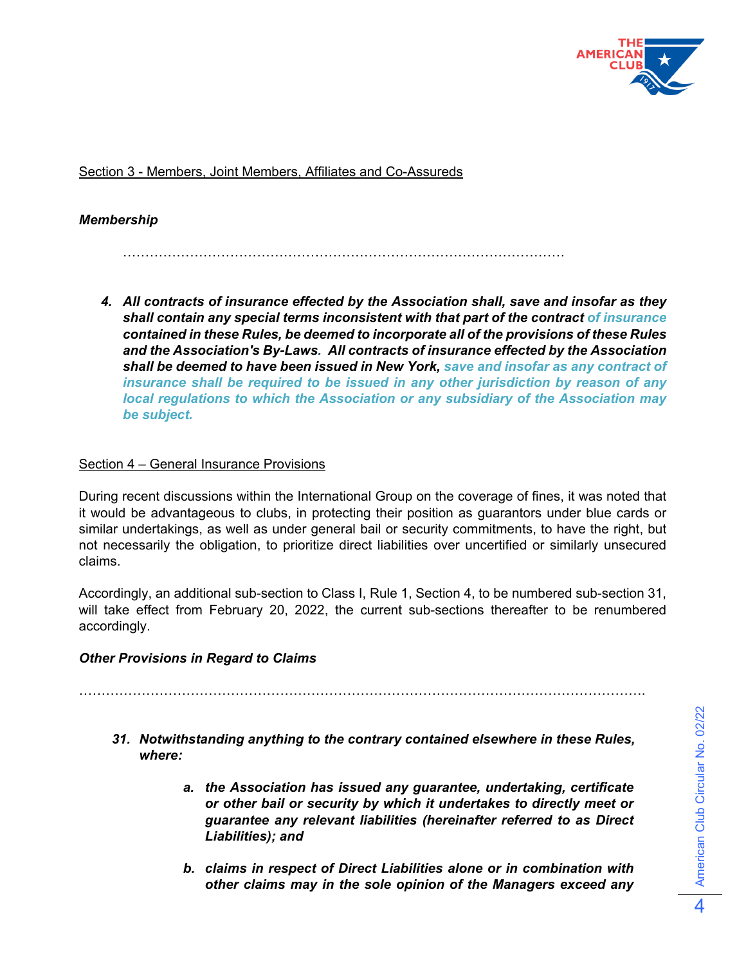

Section 3 - Members, Joint Members, Affiliates and Co-Assureds

## *Membership*

………………………………………………………………………………………

*4. All contracts of insurance effected by the Association shall, save and insofar as they shall contain any special terms inconsistent with that part of the contract of insurance contained in these Rules, be deemed to incorporate all of the provisions of these Rules and the Association's By-Laws. All contracts of insurance effected by the Association shall be deemed to have been issued in New York, save and insofar as any contract of insurance shall be required to be issued in any other jurisdiction by reason of any local regulations to which the Association or any subsidiary of the Association may be subject.*

### Section 4 – General Insurance Provisions

During recent discussions within the International Group on the coverage of fines, it was noted that it would be advantageous to clubs, in protecting their position as guarantors under blue cards or similar undertakings, as well as under general bail or security commitments, to have the right, but not necessarily the obligation, to prioritize direct liabilities over uncertified or similarly unsecured claims.

Accordingly, an additional sub-section to Class I, Rule 1, Section 4, to be numbered sub-section 31, will take effect from February 20, 2022, the current sub-sections thereafter to be renumbered accordingly.

### *Other Provisions in Regard to Claims*

……………………………………………………………………………………………………………….

- *31. Notwithstanding anything to the contrary contained elsewhere in these Rules, where:*
	- *a. the Association has issued any guarantee, undertaking, certificate or other bail or security by which it undertakes to directly meet or guarantee any relevant liabilities (hereinafter referred to as Direct Liabilities); and*
	- *b. claims in respect of Direct Liabilities alone or in combination with other claims may in the sole opinion of the Managers exceed any*